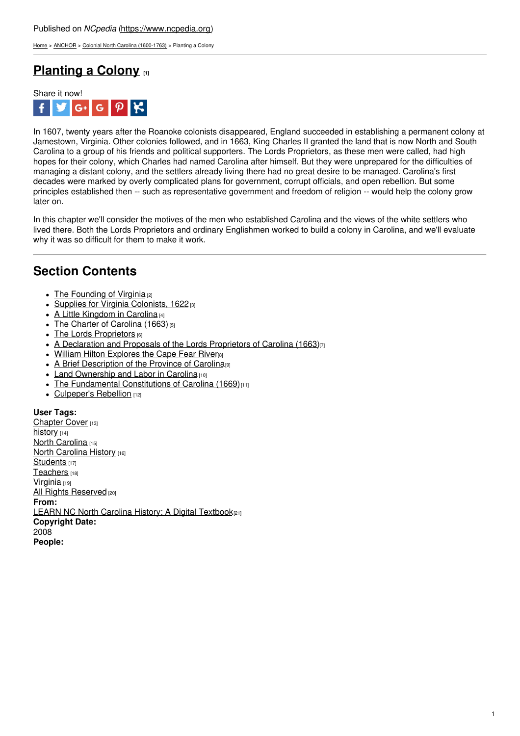[Home](https://www.ncpedia.org/) > [ANCHOR](https://www.ncpedia.org/anchor/anchor) > Colonial North Carolina [\(1600-1763\)](https://www.ncpedia.org/anchor/colonial-north-carolina-1600) > Planting a Colony

## **[Planting](https://www.ncpedia.org/anchor/planting-colony) a Colony [1]**



In 1607, twenty years after the Roanoke colonists disappeared, England succeeded in establishing a permanent colony at Jamestown, Virginia. Other colonies followed, and in 1663, King Charles II granted the land that is now North and South Carolina to a group of his friends and political supporters. The Lords Proprietors, as these men were called, had high hopes for their colony, which Charles had named Carolina after himself. But they were unprepared for the difficulties of managing a distant colony, and the settlers already living there had no great desire to be managed. Carolina's first decades were marked by overly complicated plans for government, corrupt officials, and open rebellion. But some principles established then -- such as representative government and freedom of religion -- would help the colony grow later on.

In this chapter we'll consider the motives of the men who established Carolina and the views of the white settlers who lived there. Both the Lords Proprietors and [ordinary](http://www.social9.com) Englishmen worked to build a colony in Carolina, and we'll evaluate why it was so difficult for them to make it work.

## **Section Contents**

- $\bullet$  The [Founding](https://www.ncpedia.org/anchor/founding-virginia) of Virginia  $[2]$
- Supplies for Virginia [Colonists,](https://www.ncpedia.org/anchor/supplies-virginia-colonists) 1622 [3]
- $\bullet$  A Little [Kingdom](https://www.ncpedia.org/anchor/little-kingdom-carolina) in Carolina [4]
- $\bullet$  The Charter of [Carolina](https://www.ncpedia.org/anchor/charter-carolina-1663) (1663) [5]
- The Lords [Proprietors](https://www.ncpedia.org/anchor/lords-proprietors) **[6]**
- A [Declaration](https://www.ncpedia.org/anchor/declaration-and-proposals) and Proposals of the Lords Proprietors of Carolina (1663)<sup>[7]</sup>
- . William Hilton [Explores](https://www.ncpedia.org/anchor/william-hilton-explores-cape) the Cape Fear River<sup>[8]</sup>
- A Brief [Description](https://www.ncpedia.org/anchor/brief-description-province) of the Province of Carolina<sup>[9]</sup>  $\bullet$
- Land [Ownership](https://www.ncpedia.org/anchor/land-ownership-and-labor) and Labor in Carolina [10]
- The [Fundamental](https://www.ncpedia.org/anchor/fundamental-constitutions) Constitutions of Carolina (1669)<sup>[11]</sup>
- [Culpeper's](https://www.ncpedia.org/anchor/culpepers-rebellion) Rebellion [12]

**User Tags:** [Chapter](https://www.ncpedia.org/category/user-tags/chapter-cover) Cover [13] [history](https://www.ncpedia.org/category/user-tags/history) [14] North [Carolina](https://www.ncpedia.org/category/user-tags/north-carolina-5) [15] **North [Carolina](https://www.ncpedia.org/category/user-tags/north-carolina-6) History [16]** [Students](https://www.ncpedia.org/category/user-tags/students) [17] [Teachers](https://www.ncpedia.org/category/user-tags/teachers) [18] [Virginia](https://www.ncpedia.org/category/user-tags/virginia) [19] All Rights [Reserved](https://www.ncpedia.org/category/user-tags/all-rights) [20] **From:** LEARN NC North Carolina History: A Digital [Textbook](https://www.ncpedia.org/category/entry-source/learn-nc)<sup>[21]</sup> **Copyright Date:** 2008 **People:**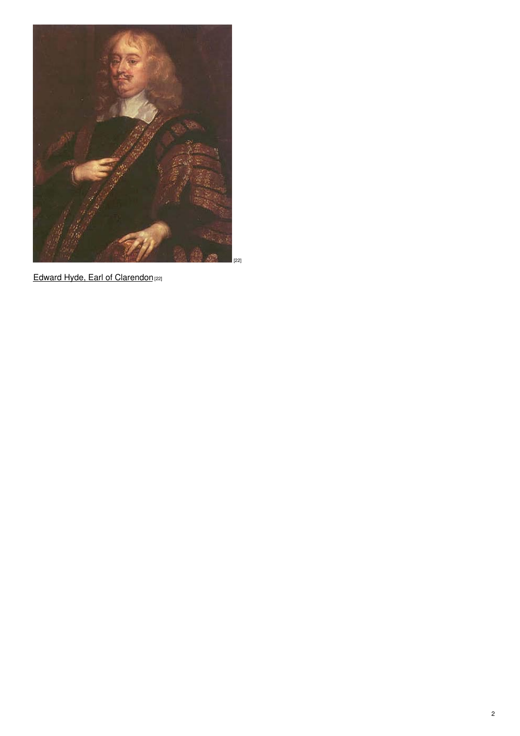

Edward Hyde, Earl of [Clarendon](https://www.ncpedia.org/media/painting/edward-hyde-earl)<sup>[22]</sup>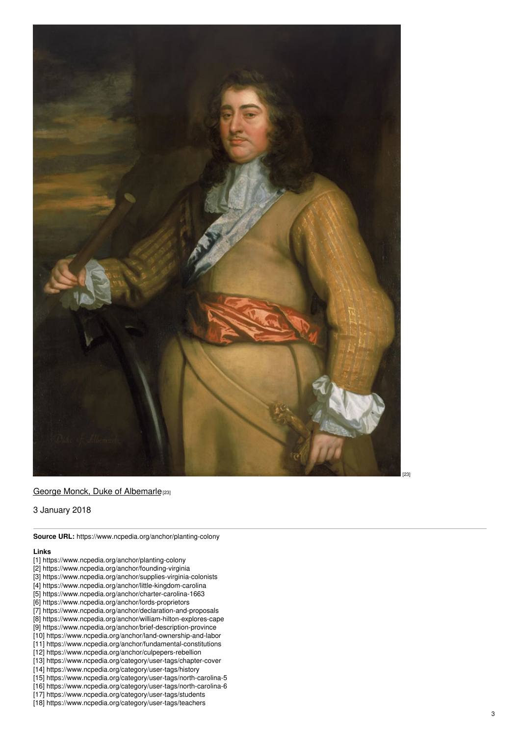

## <u>George Monck, Duke of [Alb](https://www.ncpedia.org/media/painting/george-monck-duke)emarlep</u>

3 January 2018

**Source URL:** https://www.ncpedia.org/anchor/planting-colony

## **Lin k s**

- [1] https://www.ncpedia.org/anchor/planting-colony
- [2] https://www.ncpedia.org/anchor/founding-virginia
- [3] https://www.ncpedia.org/anchor/supplies-virginia-colonists
- [4] https://www.ncpedia.org/anchor/little-kingdom-carolina
- [5] https://www.ncpedia.org/anchor/charter-carolina-1663
- [6] https://www.ncpedia.org/anchor/lords-proprietors
- [7] https://www.ncpedia.org/anchor/declaration-and-proposals
- [8] https://www.ncpedia.org/anchor/william-hilton-explores-cape
- [9] https://www.ncpedia.org/anchor/brief-description-province
- [10] https://www.ncpedia.org/anchor/land-ownership-and-labor
- [11] https://www.ncpedia.org/anchor/fundamental-constitutions
- [12] https://www.ncpedia.org/anchor/culpepers-rebellion
- [13] https://www.ncpedia.org/category/user-tags/chapter-cover
- [14] https://www.ncpedia.org/category/user-tags/history
- [15] https://www.ncpedia.org/category/user-tags/north-carolina-5
- [16] https://www.ncpedia.org/category/user-tags/north-carolina-6
- [17] https://www.ncpedia.org/category/user-tags/students
- [18] https://www.ncpedia.org/category/user-tags/teachers

[ 2 3 ]